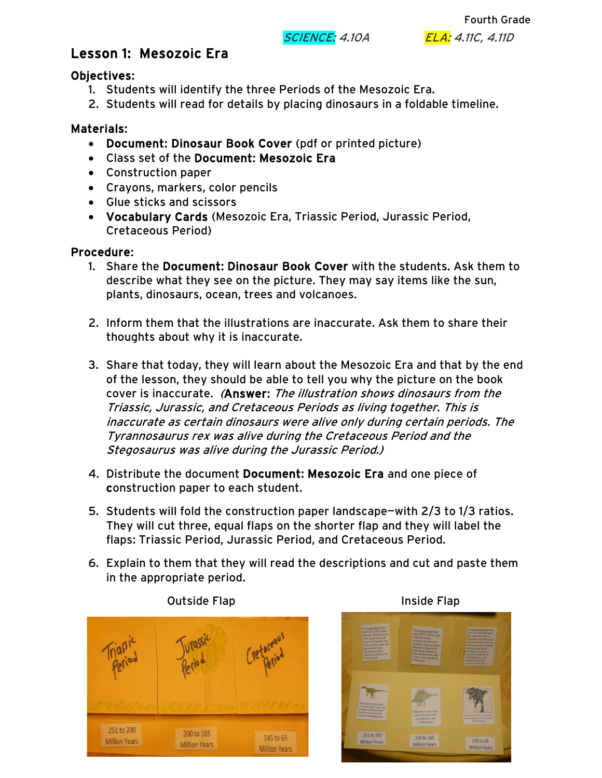**SCIENCE:** 4.10A **ELA:** 4.11C, 4.11D

Fourth Grade

# Lesson 1: Mesozoic Era

#### Objectives:

- 1. Students will identify the three Periods of the Mesozoic Era.
- 2. Students will read for details by placing dinosaurs in a foldable timeline.

### Materials:

- Document: Dinosaur Book Cover (pdf or printed picture)
- Class set of the Document: Mesozoic Era
- Construction paper
- Crayons, markers, color pencils
- Glue sticks and scissors
- Vocabulary Cards (Mesozoic Era, Triassic Period, Jurassic Period, Cretaceous Period)

## Procedure:

- 1. Share the Document: Dinosaur Book Cover with the students. Ask them to describe what they see on the picture. They may say items like the sun, plants, dinosaurs, ocean, trees and volcanoes.
- 2. Inform them that the illustrations are inaccurate. Ask them to share their thoughts about why it is inaccurate.
- 3. Share that today, they will learn about the Mesozoic Era and that by the end of the lesson, they should be able to tell you why the picture on the book cover is inaccurate. (Answer: The illustration shows dinosaurs from the Triassic, Jurassic, and Cretaceous Periods as living together. This is inaccurate as certain dinosaurs were alive only during certain periods. The Tyrannosaurus rex was alive during the Cretaceous Period and the Stegosaurus was alive during the Jurassic Period.)
- 4. Distribute the document Document: Mesozoic Era and one piece of construction paper to each student.
- 5. Students will fold the construction paper landscape—with 2/3 to 1/3 ratios. They will cut three, equal flaps on the shorter flap and they will label the flaps: Triassic Period, Jurassic Period, and Cretaceous Period.
- 6. Explain to them that they will read the descriptions and cut and paste them in the appropriate period.